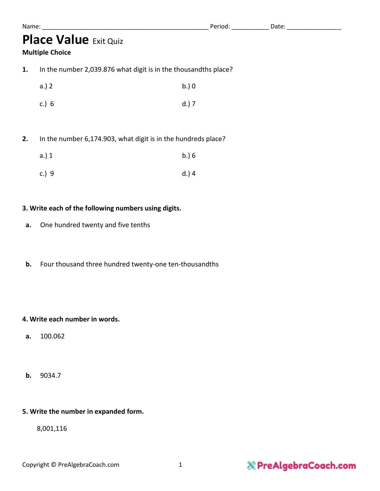| Name |  |  |  |
|------|--|--|--|
|      |  |  |  |

# **Place Value** Exit Quiz

#### **Multiple Choice**

**1.** In the number 2,039.876 what digit is in the thousandths place?

| a.) 2   | b.) 0   |
|---------|---------|
| c.) $6$ | $d.)$ 7 |

**2.** In the number 6,174.903, what digit is in the hundreds place?

| a.) 1 | b.) 6 |
|-------|-------|
| c.) 9 | d.) 4 |

#### **3. Write each of the following numbers using digits.**

- **a.** One hundred twenty and five tenths
- **b.** Four thousand three hundred twenty-one ten-thousandths

#### **4. Write each number in words.**

- **a.** 100.062
- **b.** 9034.7

#### **5. Write the number in expanded form.**

8,001,116

## & PreAlgebraCoach.com

Name: \_\_\_\_\_\_\_\_\_\_\_\_\_\_\_\_\_\_\_\_\_\_\_\_\_\_\_\_\_\_\_\_\_\_\_\_\_\_\_\_\_\_\_\_\_\_\_\_\_ Period: \_\_\_\_\_\_\_\_\_\_\_ Date: \_\_\_\_\_\_\_\_\_\_\_\_\_\_\_\_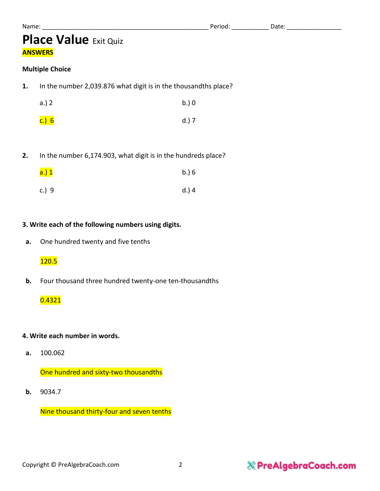## **Place Value** Exit Quiz **ANSWERS**

#### **Multiple Choice**

**1.** In the number 2,039.876 what digit is in the thousandths place?

| a.) 2              | b.) 0   |  |
|--------------------|---------|--|
| <mark>c.) 6</mark> | $d.)$ 7 |  |

**2.** In the number 6,174.903, what digit is in the hundreds place?

| <mark>a.) 1</mark> | b.) 6 |
|--------------------|-------|
| c.) 9              | d.) 4 |

#### **3. Write each of the following numbers using digits.**

**a.** One hundred twenty and five tenths

#### 120.5

**b.** Four thousand three hundred twenty-one ten-thousandths

#### 0.4321

#### **4. Write each number in words.**

**a.** 100.062

One hundred and sixty-two thousandths

**b.** 9034.7

Nine thousand thirty-four and seven tenths

### & PreAlgebraCoach.com